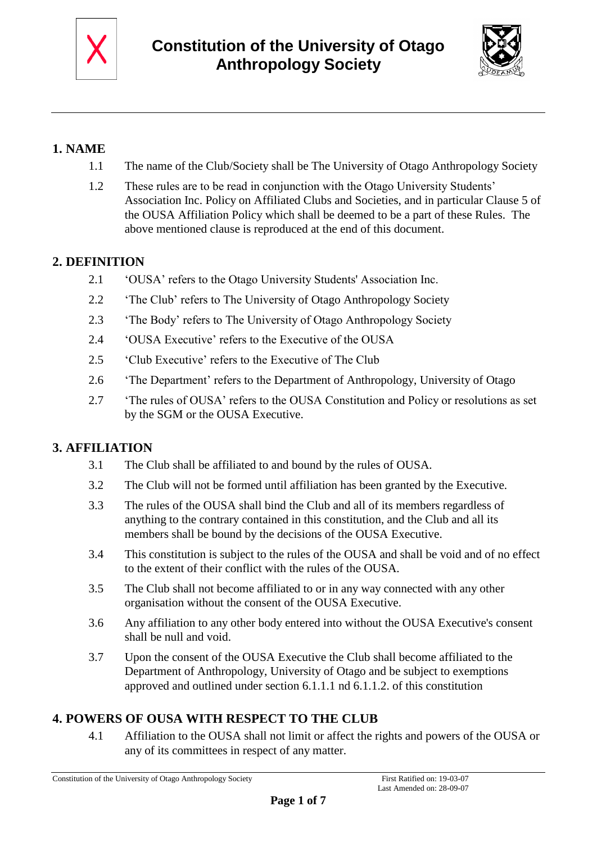



# **1. NAME**

- 1.1 The name of the Club/Society shall be The University of Otago Anthropology Society
- 1.2 These rules are to be read in conjunction with the Otago University Students' Association Inc. Policy on Affiliated Clubs and Societies, and in particular Clause 5 of the OUSA Affiliation Policy which shall be deemed to be a part of these Rules. The above mentioned clause is reproduced at the end of this document.

### **2. DEFINITION**

- 2.1 'OUSA' refers to the Otago University Students' Association Inc.
- 2.2 'The Club' refers to The University of Otago Anthropology Society
- 2.3 'The Body' refers to The University of Otago Anthropology Society
- 2.4 'OUSA Executive' refers to the Executive of the OUSA
- 2.5 'Club Executive' refers to the Executive of The Club
- 2.6 'The Department' refers to the Department of Anthropology, University of Otago
- 2.7 'The rules of OUSA' refers to the OUSA Constitution and Policy or resolutions as set by the SGM or the OUSA Executive.

## **3. AFFILIATION**

- 3.1 The Club shall be affiliated to and bound by the rules of OUSA.
- 3.2 The Club will not be formed until affiliation has been granted by the Executive.
- 3.3 The rules of the OUSA shall bind the Club and all of its members regardless of anything to the contrary contained in this constitution, and the Club and all its members shall be bound by the decisions of the OUSA Executive.
- 3.4 This constitution is subject to the rules of the OUSA and shall be void and of no effect to the extent of their conflict with the rules of the OUSA.
- 3.5 The Club shall not become affiliated to or in any way connected with any other organisation without the consent of the OUSA Executive.
- 3.6 Any affiliation to any other body entered into without the OUSA Executive's consent shall be null and void.
- 3.7 Upon the consent of the OUSA Executive the Club shall become affiliated to the Department of Anthropology, University of Otago and be subject to exemptions approved and outlined under section 6.1.1.1 nd 6.1.1.2. of this constitution

# **4. POWERS OF OUSA WITH RESPECT TO THE CLUB**

4.1 Affiliation to the OUSA shall not limit or affect the rights and powers of the OUSA or any of its committees in respect of any matter.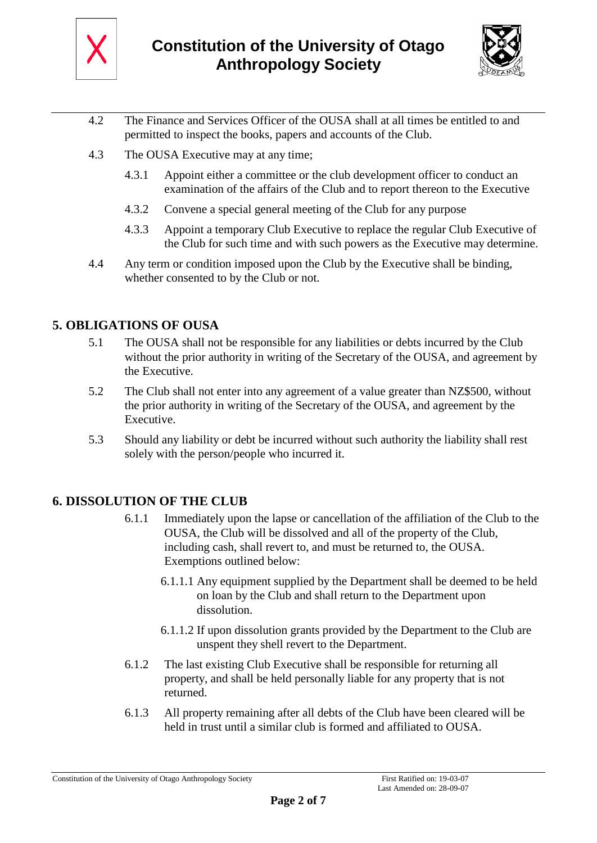



- 4.2 The Finance and Services Officer of the OUSA shall at all times be entitled to and permitted to inspect the books, papers and accounts of the Club.
- 4.3 The OUSA Executive may at any time;
	- 4.3.1 Appoint either a committee or the club development officer to conduct an examination of the affairs of the Club and to report thereon to the Executive
	- 4.3.2 Convene a special general meeting of the Club for any purpose
	- 4.3.3 Appoint a temporary Club Executive to replace the regular Club Executive of the Club for such time and with such powers as the Executive may determine.
- 4.4 Any term or condition imposed upon the Club by the Executive shall be binding, whether consented to by the Club or not.

### **5. OBLIGATIONS OF OUSA**

- 5.1 The OUSA shall not be responsible for any liabilities or debts incurred by the Club without the prior authority in writing of the Secretary of the OUSA, and agreement by the Executive.
- 5.2 The Club shall not enter into any agreement of a value greater than NZ\$500, without the prior authority in writing of the Secretary of the OUSA, and agreement by the Executive.
- 5.3 Should any liability or debt be incurred without such authority the liability shall rest solely with the person/people who incurred it.

### **6. DISSOLUTION OF THE CLUB**

- 6.1.1 Immediately upon the lapse or cancellation of the affiliation of the Club to the OUSA, the Club will be dissolved and all of the property of the Club, including cash, shall revert to, and must be returned to, the OUSA. Exemptions outlined below:
	- 6.1.1.1 Any equipment supplied by the Department shall be deemed to be held on loan by the Club and shall return to the Department upon dissolution.
	- 6.1.1.2 If upon dissolution grants provided by the Department to the Club are unspent they shell revert to the Department.
- 6.1.2 The last existing Club Executive shall be responsible for returning all property, and shall be held personally liable for any property that is not returned.
- 6.1.3 All property remaining after all debts of the Club have been cleared will be held in trust until a similar club is formed and affiliated to OUSA.

Constitution of the University of Otago Anthropology Society First Ratified on: 19-03-07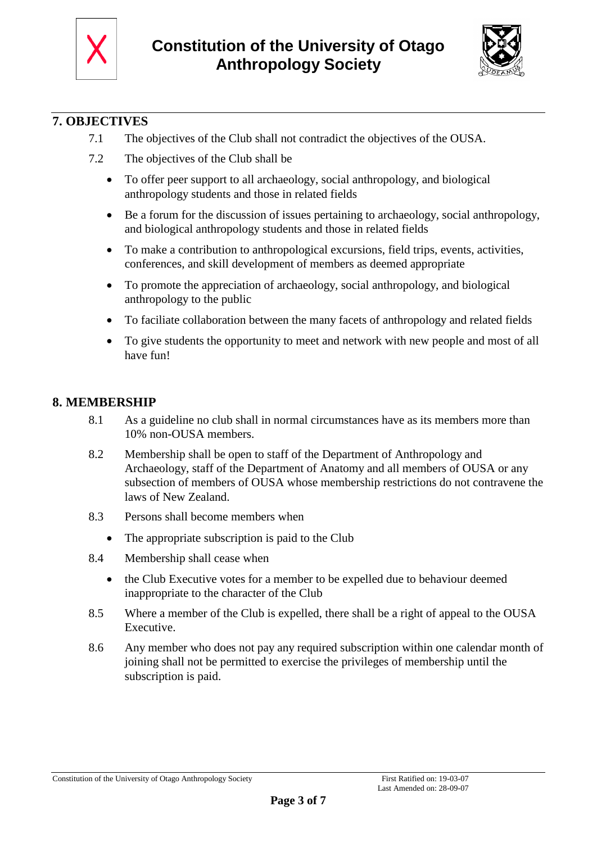



## **7. OBJECTIVES**

- 7.1 The objectives of the Club shall not contradict the objectives of the OUSA.
- 7.2 The objectives of the Club shall be
	- To offer peer support to all archaeology, social anthropology, and biological anthropology students and those in related fields
	- Be a forum for the discussion of issues pertaining to archaeology, social anthropology, and biological anthropology students and those in related fields
	- To make a contribution to anthropological excursions, field trips, events, activities, conferences, and skill development of members as deemed appropriate
	- To promote the appreciation of archaeology, social anthropology, and biological anthropology to the public
	- To faciliate collaboration between the many facets of anthropology and related fields
	- To give students the opportunity to meet and network with new people and most of all have fun!

#### **8. MEMBERSHIP**

- 8.1 As a guideline no club shall in normal circumstances have as its members more than 10% non-OUSA members.
- 8.2 Membership shall be open to staff of the Department of Anthropology and Archaeology, staff of the Department of Anatomy and all members of OUSA or any subsection of members of OUSA whose membership restrictions do not contravene the laws of New Zealand.
- 8.3 Persons shall become members when
	- The appropriate subscription is paid to the Club
- 8.4 Membership shall cease when
	- the Club Executive votes for a member to be expelled due to behaviour deemed inappropriate to the character of the Club
- 8.5 Where a member of the Club is expelled, there shall be a right of appeal to the OUSA Executive.
- 8.6 Any member who does not pay any required subscription within one calendar month of joining shall not be permitted to exercise the privileges of membership until the subscription is paid.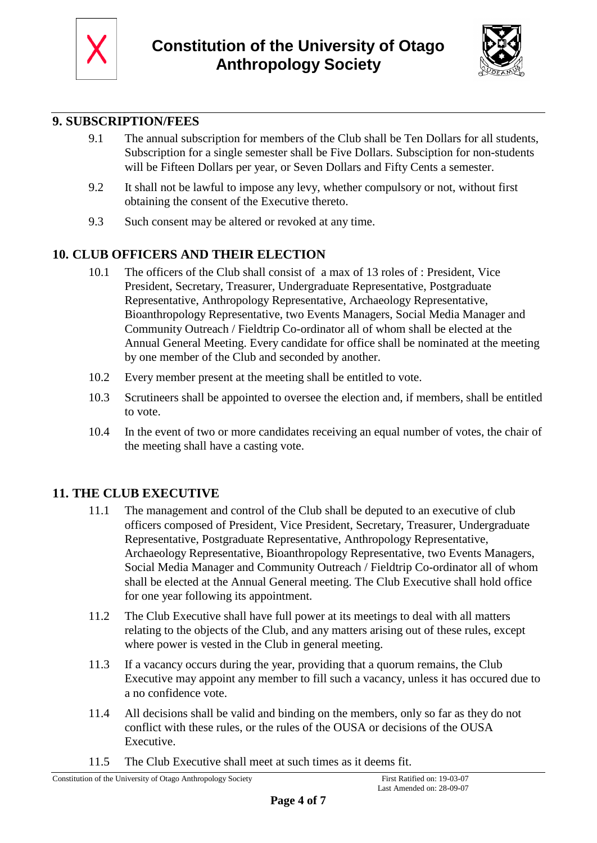



## **9. SUBSCRIPTION/FEES**

- 9.1 The annual subscription for members of the Club shall be Ten Dollars for all students, Subscription for a single semester shall be Five Dollars. Subsciption for non-students will be Fifteen Dollars per year, or Seven Dollars and Fifty Cents a semester.
- 9.2 It shall not be lawful to impose any levy, whether compulsory or not, without first obtaining the consent of the Executive thereto.
- 9.3 Such consent may be altered or revoked at any time.

## **10. CLUB OFFICERS AND THEIR ELECTION**

- 10.1 The officers of the Club shall consist of a max of 13 roles of : President, Vice President, Secretary, Treasurer, Undergraduate Representative, Postgraduate Representative, Anthropology Representative, Archaeology Representative, Bioanthropology Representative, two Events Managers, Social Media Manager and Community Outreach / Fieldtrip Co-ordinator all of whom shall be elected at the Annual General Meeting. Every candidate for office shall be nominated at the meeting by one member of the Club and seconded by another.
- 10.2 Every member present at the meeting shall be entitled to vote.
- 10.3 Scrutineers shall be appointed to oversee the election and, if members, shall be entitled to vote.
- 10.4 In the event of two or more candidates receiving an equal number of votes, the chair of the meeting shall have a casting vote.

### **11. THE CLUB EXECUTIVE**

- 11.1 The management and control of the Club shall be deputed to an executive of club officers composed of President, Vice President, Secretary, Treasurer, Undergraduate Representative, Postgraduate Representative, Anthropology Representative, Archaeology Representative, Bioanthropology Representative, two Events Managers, Social Media Manager and Community Outreach / Fieldtrip Co-ordinator all of whom shall be elected at the Annual General meeting. The Club Executive shall hold office for one year following its appointment.
- 11.2 The Club Executive shall have full power at its meetings to deal with all matters relating to the objects of the Club, and any matters arising out of these rules, except where power is vested in the Club in general meeting.
- 11.3 If a vacancy occurs during the year, providing that a quorum remains, the Club Executive may appoint any member to fill such a vacancy, unless it has occured due to a no confidence vote.
- 11.4 All decisions shall be valid and binding on the members, only so far as they do not conflict with these rules, or the rules of the OUSA or decisions of the OUSA Executive.
- 11.5 The Club Executive shall meet at such times as it deems fit.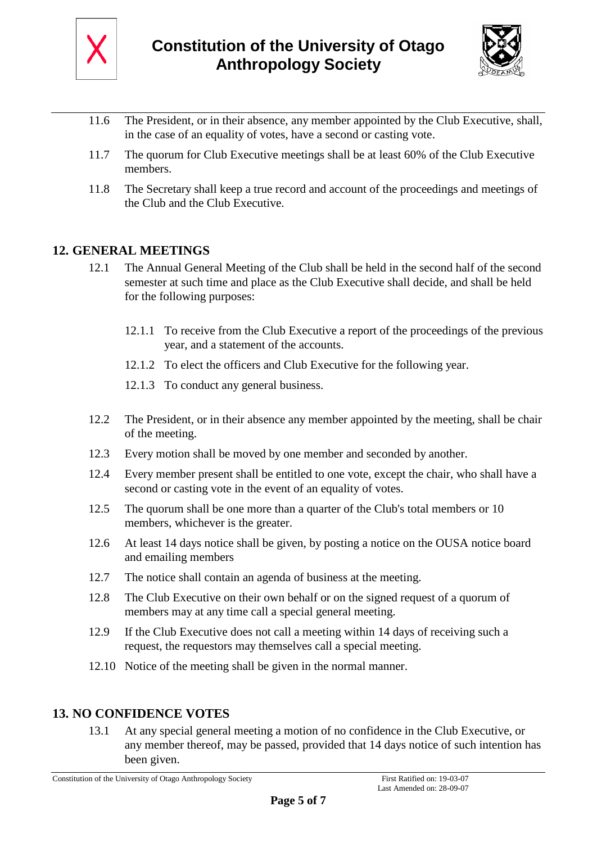



- 11.6 The President, or in their absence, any member appointed by the Club Executive, shall, in the case of an equality of votes, have a second or casting vote.
- 11.7 The quorum for Club Executive meetings shall be at least 60% of the Club Executive members.
- 11.8 The Secretary shall keep a true record and account of the proceedings and meetings of the Club and the Club Executive.

#### **12. GENERAL MEETINGS**

- 12.1 The Annual General Meeting of the Club shall be held in the second half of the second semester at such time and place as the Club Executive shall decide, and shall be held for the following purposes:
	- 12.1.1 To receive from the Club Executive a report of the proceedings of the previous year, and a statement of the accounts.
	- 12.1.2 To elect the officers and Club Executive for the following year.
	- 12.1.3 To conduct any general business.
- 12.2 The President, or in their absence any member appointed by the meeting, shall be chair of the meeting.
- 12.3 Every motion shall be moved by one member and seconded by another.
- 12.4 Every member present shall be entitled to one vote, except the chair, who shall have a second or casting vote in the event of an equality of votes.
- 12.5 The quorum shall be one more than a quarter of the Club's total members or 10 members, whichever is the greater.
- 12.6 At least 14 days notice shall be given, by posting a notice on the OUSA notice board and emailing members
- 12.7 The notice shall contain an agenda of business at the meeting.
- 12.8 The Club Executive on their own behalf or on the signed request of a quorum of members may at any time call a special general meeting.
- 12.9 If the Club Executive does not call a meeting within 14 days of receiving such a request, the requestors may themselves call a special meeting.
- 12.10 Notice of the meeting shall be given in the normal manner.

### **13. NO CONFIDENCE VOTES**

13.1 At any special general meeting a motion of no confidence in the Club Executive, or any member thereof, may be passed, provided that 14 days notice of such intention has been given.

Constitution of the University of Otago Anthropology Society First Ratified on: 19-03-07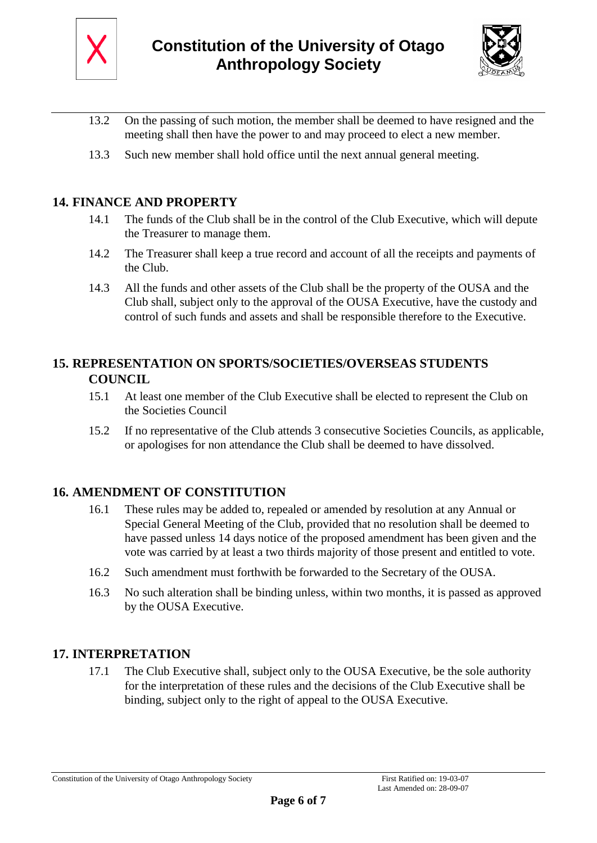



- 13.2 On the passing of such motion, the member shall be deemed to have resigned and the meeting shall then have the power to and may proceed to elect a new member.
- 13.3 Such new member shall hold office until the next annual general meeting.

### **14. FINANCE AND PROPERTY**

- 14.1 The funds of the Club shall be in the control of the Club Executive, which will depute the Treasurer to manage them.
- 14.2 The Treasurer shall keep a true record and account of all the receipts and payments of the Club.
- 14.3 All the funds and other assets of the Club shall be the property of the OUSA and the Club shall, subject only to the approval of the OUSA Executive, have the custody and control of such funds and assets and shall be responsible therefore to the Executive.

### **15. REPRESENTATION ON SPORTS/SOCIETIES/OVERSEAS STUDENTS COUNCIL**

- 15.1 At least one member of the Club Executive shall be elected to represent the Club on the Societies Council
- 15.2 If no representative of the Club attends 3 consecutive Societies Councils, as applicable, or apologises for non attendance the Club shall be deemed to have dissolved.

### **16. AMENDMENT OF CONSTITUTION**

- 16.1 These rules may be added to, repealed or amended by resolution at any Annual or Special General Meeting of the Club, provided that no resolution shall be deemed to have passed unless 14 days notice of the proposed amendment has been given and the vote was carried by at least a two thirds majority of those present and entitled to vote.
- 16.2 Such amendment must forthwith be forwarded to the Secretary of the OUSA.
- 16.3 No such alteration shall be binding unless, within two months, it is passed as approved by the OUSA Executive.

### **17. INTERPRETATION**

17.1 The Club Executive shall, subject only to the OUSA Executive, be the sole authority for the interpretation of these rules and the decisions of the Club Executive shall be binding, subject only to the right of appeal to the OUSA Executive.